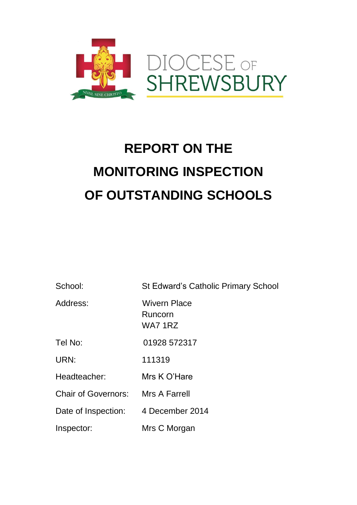

# **REPORT ON THE MONITORING INSPECTION OF OUTSTANDING SCHOOLS**

School: St Edward's Catholic Primary School

Address: Wivern Place

Tel No: 01928 572317

 Runcorn WA7 1RZ

URN: 111319

Headteacher: Mrs K O'Hare

Chair of Governors: Mrs A Farrell

Date of Inspection: 4 December 2014

Inspector: Mrs C Morgan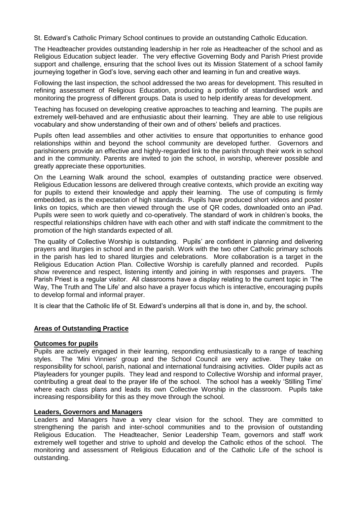St. Edward's Catholic Primary School continues to provide an outstanding Catholic Education.

The Headteacher provides outstanding leadership in her role as Headteacher of the school and as Religious Education subject leader. The very effective Governing Body and Parish Priest provide support and challenge, ensuring that the school lives out its Mission Statement of a school family journeying together in God's love, serving each other and learning in fun and creative ways.

Following the last inspection, the school addressed the two areas for development. This resulted in refining assessment of Religious Education, producing a portfolio of standardised work and monitoring the progress of different groups. Data is used to help identify areas for development.

Teaching has focused on developing creative approaches to teaching and learning. The pupils are extremely well-behaved and are enthusiastic about their learning. They are able to use religious vocabulary and show understanding of their own and of others' beliefs and practices.

Pupils often lead assemblies and other activities to ensure that opportunities to enhance good relationships within and beyond the school community are developed further. Governors and parishioners provide an effective and highly-regarded link to the parish through their work in school and in the community. Parents are invited to join the school, in worship, wherever possible and greatly appreciate these opportunities.

On the Learning Walk around the school, examples of outstanding practice were observed. Religious Education lessons are delivered through creative contexts, which provide an exciting way for pupils to extend their knowledge and apply their learning. The use of computing is firmly embedded, as is the expectation of high standards. Pupils have produced short videos and poster links on topics, which are then viewed through the use of QR codes, downloaded onto an iPad. Pupils were seen to work quietly and co-operatively. The standard of work in children's books, the respectful relationships children have with each other and with staff indicate the commitment to the promotion of the high standards expected of all.

The quality of Collective Worship is outstanding. Pupils' are confident in planning and delivering prayers and liturgies in school and in the parish. Work with the two other Catholic primary schools in the parish has led to shared liturgies and celebrations. More collaboration is a target in the Religious Education Action Plan. Collective Worship is carefully planned and recorded. Pupils show reverence and respect, listening intently and joining in with responses and prayers. The Parish Priest is a regular visitor. All classrooms have a display relating to the current topic in 'The Way, The Truth and The Life' and also have a prayer focus which is interactive, encouraging pupils to develop formal and informal prayer.

It is clear that the Catholic life of St. Edward's underpins all that is done in, and by, the school.

### **Areas of Outstanding Practice**

#### **Outcomes for pupils**

Pupils are actively engaged in their learning, responding enthusiastically to a range of teaching styles. The 'Mini Vinnies' group and the School Council are very active. They take on responsibility for school, parish, national and international fundraising activities. Older pupils act as Playleaders for younger pupils. They lead and respond to Collective Worship and informal prayer, contributing a great deal to the prayer life of the school. The school has a weekly 'Stilling Time' where each class plans and leads its own Collective Worship in the classroom. Pupils take increasing responsibility for this as they move through the school.

#### **Leaders, Governors and Managers**

Leaders and Managers have a very clear vision for the school. They are committed to strengthening the parish and inter-school communities and to the provision of outstanding Religious Education. The Headteacher, Senior Leadership Team, governors and staff work extremely well together and strive to uphold and develop the Catholic ethos of the school. The monitoring and assessment of Religious Education and of the Catholic Life of the school is outstanding.